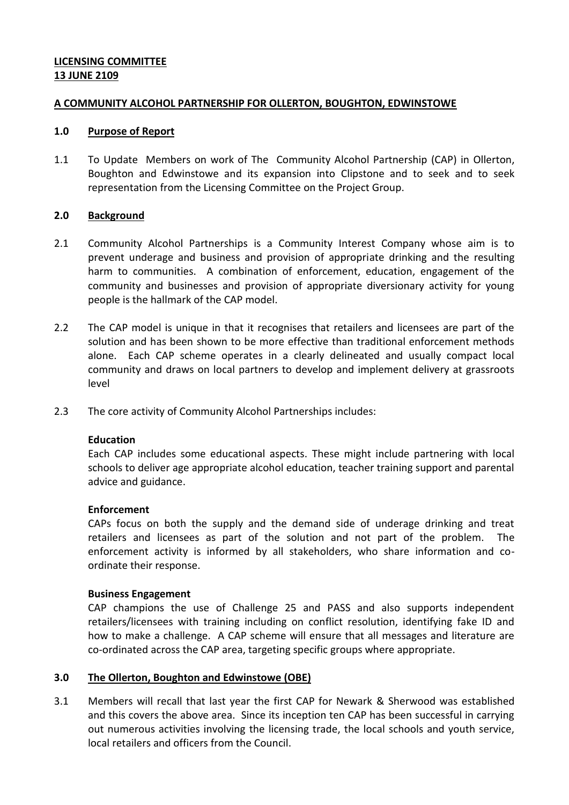# **LICENSING COMMITTEE 13 JUNE 2109**

## **A COMMUNITY ALCOHOL PARTNERSHIP FOR OLLERTON, BOUGHTON, EDWINSTOWE**

## **1.0 Purpose of Report**

1.1 To Update Members on work of The Community Alcohol Partnership (CAP) in Ollerton, Boughton and Edwinstowe and its expansion into Clipstone and to seek and to seek representation from the Licensing Committee on the Project Group.

## **2.0 Background**

- 2.1 Community Alcohol Partnerships is a Community Interest Company whose aim is to prevent underage and business and provision of appropriate drinking and the resulting harm to communities. A combination of enforcement, education, engagement of the community and businesses and provision of appropriate diversionary activity for young people is the hallmark of the CAP model.
- 2.2 The CAP model is unique in that it recognises that retailers and licensees are part of the solution and has been shown to be more effective than traditional enforcement methods alone. Each CAP scheme operates in a clearly delineated and usually compact local community and draws on local partners to develop and implement delivery at grassroots level
- 2.3 The core activity of Community Alcohol Partnerships includes:

## **Education**

Each CAP includes some educational aspects. These might include partnering with local schools to deliver age appropriate alcohol education, teacher training support and parental advice and guidance.

#### **Enforcement**

CAPs focus on both the supply and the demand side of underage drinking and treat retailers and licensees as part of the solution and not part of the problem. The enforcement activity is informed by all stakeholders, who share information and coordinate their response.

#### **Business Engagement**

CAP champions the use of Challenge 25 and PASS and also supports independent retailers/licensees with training including on conflict resolution, identifying fake ID and how to make a challenge. A CAP scheme will ensure that all messages and literature are co-ordinated across the CAP area, targeting specific groups where appropriate.

#### **3.0 The Ollerton, Boughton and Edwinstowe (OBE)**

3.1 Members will recall that last year the first CAP for Newark & Sherwood was established and this covers the above area. Since its inception ten CAP has been successful in carrying out numerous activities involving the licensing trade, the local schools and youth service, local retailers and officers from the Council.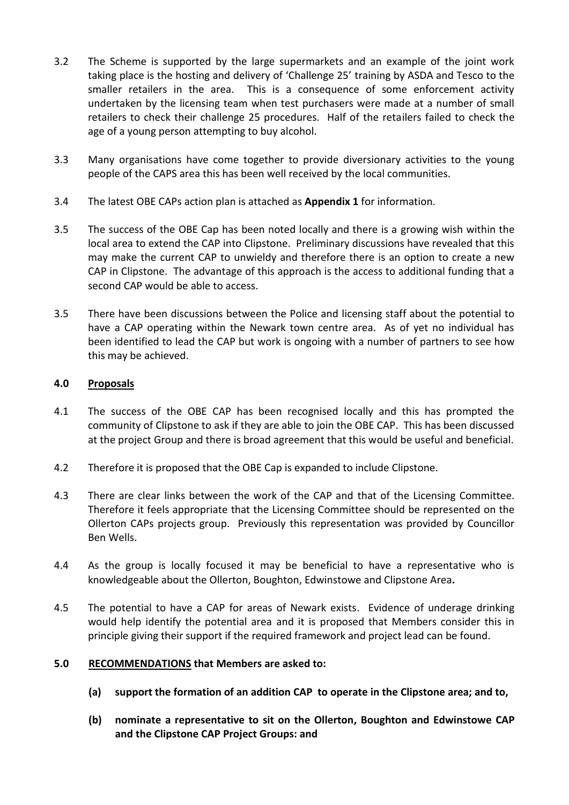- 3.2 The Scheme is supported by the large supermarkets and an example of the joint work taking place is the hosting and delivery of 'Challenge 25' training by ASDA and Tesco to the smaller retailers in the area. This is a consequence of some enforcement activity undertaken by the licensing team when test purchasers were made at a number of small retailers to check their challenge 25 procedures. Half of the retailers failed to check the age of a young person attempting to buy alcohol.
- 3.3 Many organisations have come together to provide diversionary activities to the young people of the CAPS area this has been well received by the local communities.
- 3.4 The latest OBE CAPs action plan is attached as **Appendix 1** for information.
- 3.5 The success of the OBE Cap has been noted locally and there is a growing wish within the local area to extend the CAP into Clipstone. Preliminary discussions have revealed that this may make the current CAP to unwieldy and therefore there is an option to create a new CAP in Clipstone. The advantage of this approach is the access to additional funding that a second CAP would be able to access.
- 3.5 There have been discussions between the Police and licensing staff about the potential to have a CAP operating within the Newark town centre area. As of yet no individual has been identified to lead the CAP but work is ongoing with a number of partners to see how this may be achieved.

## **4.0 Proposals**

- 4.1 The success of the OBE CAP has been recognised locally and this has prompted the community of Clipstone to ask if they are able to join the OBE CAP. This has been discussed at the project Group and there is broad agreement that this would be useful and beneficial.
- 4.2 Therefore it is proposed that the OBE Cap is expanded to include Clipstone.
- 4.3 There are clear links between the work of the CAP and that of the Licensing Committee. Therefore it feels appropriate that the Licensing Committee should be represented on the Ollerton CAPs projects group. Previously this representation was provided by Councillor Ben Wells.
- 4.4 As the group is locally focused it may be beneficial to have a representative who is knowledgeable about the Ollerton, Boughton, Edwinstowe and Clipstone Area**.**
- 4.5 The potential to have a CAP for areas of Newark exists. Evidence of underage drinking would help identify the potential area and it is proposed that Members consider this in principle giving their support if the required framework and project lead can be found.

# **5.0 RECOMMENDATIONS that Members are asked to:**

- **(a) support the formation of an addition CAP to operate in the Clipstone area; and to,**
- **(b) nominate a representative to sit on the Ollerton, Boughton and Edwinstowe CAP and the Clipstone CAP Project Groups: and**